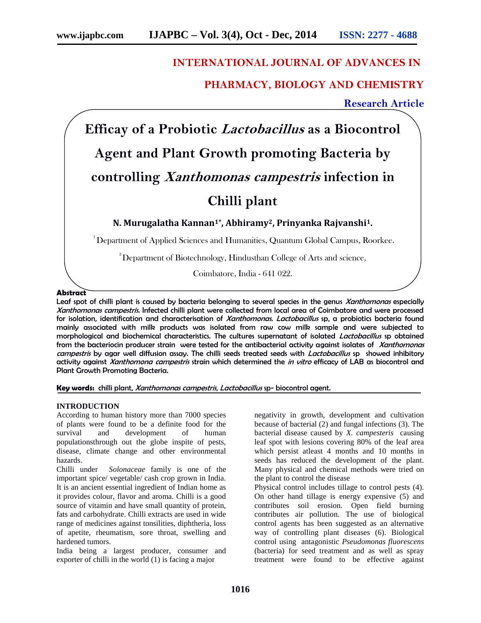# **INTERNATIONAL JOURNAL OF ADVANCES IN**

# **PHARMACY, BIOLOGY AND CHEMISTRY**

**Research Article**

**Efficay of a Probiotic** *Lactobacillus* **as a Biocontrol Agent and Plant Growth promoting Bacteria by controlling** *Xanthomonas campestris* **infection in Chilli plant**

**N. Murugalatha Kannan1\*, Abhiramy2, Prinyanka Rajvanshi1.**

<sup>1</sup>Department of Applied Sciences and Humanities, Quantum Global Campus, Roorkee.

 $2^{2}$ Department of Biotechnology, Hindusthan College of Arts and science,

Coimbatore, India - 641 022.

## **Abstract**

Leaf spot of chilli plant is caused by bacteria belonging to several species in the genus *Xanthomonas* especially *Xanthomonas campestris.* Infected chilli plant were collected from local area of Coimbatore and were processed for isolation, identification and characterisation of *Xanthomonas. Lactobacillus* sp, a probiotics bacteria found mainly associated with milk products was isolated from raw cow milk sample and were subjected to morphological and biochemical characteristics. The cultures supernatant of isolated *Lactobacillus* sp obtained from the bacteriocin producer strain were tested for the antibacterial activity against isolates of *Xanthomonas campestris* by agar well diffusion assay. The chilli seeds treated seeds with *Lactobacillus* sp showed inhibitory activity against *Xanthomona campestris* strain which determined the *in vitro* efficacy of LAB as biocontrol and Plant Growth Promoting Bacteria.

**Key words:** chilli plant, *Xanthomonas campestris, Lactobacillus* sp- biocontrol agent.

# **INTRODUCTION**

According to human history more than 7000 species of plants were found to be a definite food for the survival and development of human and development of human populationsthrough out the globe inspite of pests, disease, climate change and other environmental hazards.

Chilli under *Solonaceae* family is one of the important spice/ vegetable/ cash crop grown in India. It is an ancient essential ingredient of Indian home as it provides colour, flavor and aroma. Chilli is a good source of vitamin and have small quantity of protein, fats and carbohydrate. Chilli extracts are used in wide range of medicines against tonsilities, diphtheria, loss of apetite, rheumatism, sore throat, swelling and hardened tumors.

India being a largest producer, consumer and exporter of chilli in the world (1) is facing a major

negativity in growth, development and cultivation because of bacterial (2) and fungal infections (3). The bacterial disease caused by *X. campesteris* causing leaf spot with lesions covering 80% of the leaf area which persist atleast 4 months and 10 months in seeds has reduced the development of the plant. Many physical and chemical methods were tried on the plant to control the disease

Physical control includes tillage to control pests (4). On other hand tillage is energy expensive (5) and contributes soil erosion. Open field burning contributes air pollution. The use of biological control agents has been suggested as an alternative way of controlling plant diseases (6). Biological control using antagonistic *Pseudomonas fluorescens* (bacteria) for seed treatment and as well as spray treatment were found to be effective against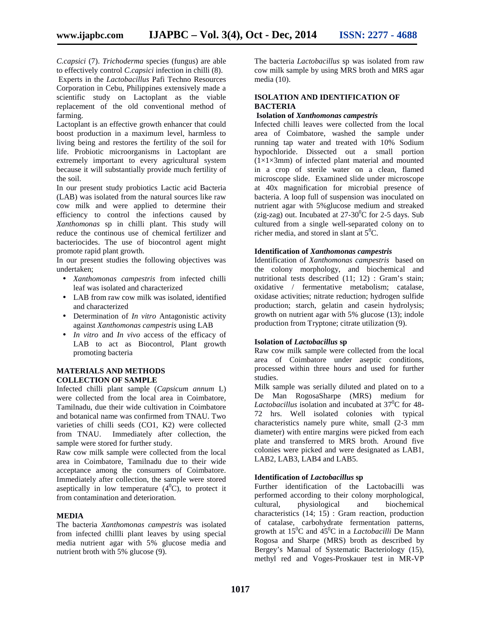*C.capsici* (7). *Trichoderma* species (fungus) are able to effectively control *C.capsici* infection in chilli (8).

Experts in the *Lactobacillus* Pafi Techno Resources Corporation in Cebu, Philippines extensively made a scientific study on Lactoplant as the viable replacement of the old conventional method of farming.

Lactoplant is an effective growth enhancer that could boost production in a maximum level, harmless to living being and restores the fertility of the soil for life. Probiotic microorganisms in Lactoplant are extremely important to every agricultural system because it will substantially provide much fertility of the soil.

In our present study probiotics Lactic acid Bacteria (LAB) was isolated from the natural sources like raw cow milk and were applied to determine their efficiency to control the infections caused by *Xanthomonas* sp in chilli plant. This study will reduce the continous use of chemical fertilizer and bacteriocides. The use of biocontrol agent might promote rapid plant growth.

In our present studies the following objectives was undertaken;

- *Xanthomonas campestris* from infected chilli leaf was isolated and characterized
- LAB from raw cow milk was isolated, identified and characterized
- Determination of *In vitro* Antagonistic activity against *Xanthomonas campestris* using LAB
- *In vitro* and *In vivo* access of the efficacy of LAB to act as Biocontrol, Plant growth promoting bacteria

# **MATERIALS AND METHODS COLLECTION OF SAMPLE**

Infected chilli plant sample (*Capsicum annum* L) were collected from the local area in Coimbatore, Tamilnadu, due their wide cultivation in Coimbatore and botanical name was confirmed from TNAU. Two varieties of chilli seeds (CO1, K2) were collected from TNAU. Immediately after collection, the sample were stored for further study.

Raw cow milk sample were collected from the local area in Coimbatore, Tamilnadu due to their wide acceptance among the consumers of Coimbatore. Immediately after collection, the sample were stored aseptically in low temperature  $(4^0C)$ , to protect it from contamination and deterioration.

# **MEDIA**

The bacteria *Xanthomonas campestris* was isolated from infected chillli plant leaves by using special media nutrient agar with 5% glucose media and nutrient broth with 5% glucose (9).

The bacteria *Lactobacillus* sp was isolated from raw cow milk sample by using MRS broth and MRS agar media (10).

## **ISOLATION AND IDENTIFICATION OF BACTERIA**

#### **Isolation of** *Xanthomonas campestris*

Infected chilli leaves were collected from the local area of Coimbatore, washed the sample under running tap water and treated with 10% Sodium hypochloride. Dissected out a small portion  $(1\times1\times3$ mm) of infected plant material and mounted in a crop of sterile water on a clean, flamed microscope slide. Examined slide under microscope at 40x magnification for microbial presence of bacteria. A loop full of suspension was inoculated on nutrient agar with 5%glucose medium and streaked (zig-zag) out. Incubated at  $27-30$ <sup>o</sup>C for 2-5 days. Sub cultured from a single well-separated colony on to richer media, and stored in slant at  $5^0C$ .

## **Identification of** *Xanthomonas campestris*

Identification of *Xanthomonas campestris* based on the colony morphology, and biochemical and nutritional tests described (11: 12) : Gram's stain: oxidative / fermentative metabolism; catalase, oxidase activities; nitrate reduction; hydrogen sulfide production; starch, gelatin and casein hydrolysis; growth on nutrient agar with 5% glucose (13); indole production from Tryptone; citrate utilization (9).

## **Isolation of** *Lactobacillus* **sp**

Raw cow milk sample were collected from the local area of Coimbatore under aseptic conditions, processed within three hours and used for further studies.

Milk sample was serially diluted and plated on to a De Man RogosaSharpe (MRS) medium for Lactobacillus isolation and incubated at 37<sup>0</sup>C for 48-72 hrs. Well isolated colonies with typical characteristics namely pure white, small (2-3 mm diameter) with entire margins were picked from each plate and transferred to MRS broth. Around five colonies were picked and were designated as LAB1, LAB2, LAB3, LAB4 and LAB5.

## **Identification of** *Lactobacillus* **sp**

Further identification of the Lactobacilli was performed according to their colony morphological, cultural, physiological and biochemical characteristics (14; 15) : Gram reaction, production of catalase, carbohydrate fermentation patterns, growth at 15<sup>0</sup>C and 45<sup>0</sup>C in a *Lactobacilli* De Mann Rogosa and Sharpe (MRS) broth as described by Bergey's Manual of Systematic Bacteriology (15), methyl red and Voges-Proskauer test in MR-VP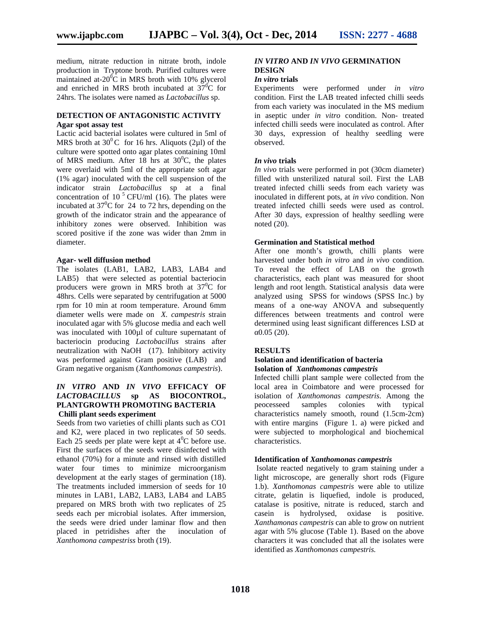medium, nitrate reduction in nitrate broth, indole production in Tryptone broth. Purified cultures were maintained at- $20^{\circ}$ C in MRS broth with 10% glycerol and enriched in MRS broth incubated at  $37^\circ$ C for 24hrs. The isolates were named as *Lactobacillus* sp.

## **DETECTION OF ANTAGONISTIC ACTIVITY Agar spot assay test**

Lactic acid bacterial isolates were cultured in 5ml of MRS broth at  $30^{\circ}$ C for 16 hrs. Aliquots (2µl) of the culture were spotted onto agar plates containing 10ml of MRS medium. After 18 hrs at  $30^{\circ}$ C, the plates were overlaid with 5ml of the appropriate soft agar (1% agar) inoculated with the cell suspension of the indicator strain *Lactobacillus* sp at a final concentration of 10<sup>5</sup> CFU/ml (16). The plates were incubated at  $37^{\circ}$ C for 24 to 72 hrs, depending on the growth of the indicator strain and the appearance of inhibitory zones were observed. Inhibition was scored positive if the zone was wider than 2mm in diameter.

## **Agar- well diffusion method**

The isolates (LAB1, LAB2, LAB3, LAB4 and LAB5) that were selected as potential bacteriocin producers were grown in MRS broth at  $37^0C$  for 48hrs. Cells were separated by centrifugation at 5000 rpm for 10 min at room temperature. Around 6mm diameter wells were made on *X. campestris* strain inoculated agar with 5% glucose media and each well was inoculated with 100 $\mu$ l of culture supernatant of bacteriocin producing *Lactobacillus* strains after neutralization with NaOH (17). Inhibitory activity was performed against Gram positive (LAB) and Gram negative organism (*Xanthomonas campestris*).

## *IN VITRO* **AND** *IN VIVO* **EFFICACY OF** *LACTOBACILLUS* **sp AS BIOCONTROL, PLANTGROWTH PROMOTING BACTERIA Chilli plant seeds experiment**

Seeds from two varieties of chilli plants such as CO1 and K2, were placed in two replicates of 50 seeds. Each 25 seeds per plate were kept at  $4^0C$  before use. First the surfaces of the seeds were disinfected with ethanol (70%) for a minute and rinsed with distilled water four times to minimize microorganism development at the early stages of germination (18). The treatments included immersion of seeds for 10 minutes in LAB1, LAB2, LAB3, LAB4 and LAB5 prepared on MRS broth with two replicates of 25 seeds each per microbial isolates. After immersion, the seeds were dried under laminar flow and then placed in petridishes after the inoculation of *Xanthomona campestriss* broth (19).

# *IN VITRO* **AND** *IN VIVO* **GERMINATION DESIGN**

## *In vitro* **trials**

Experiments were performed under *in vitro* condition. First the LAB treated infected chilli seeds from each variety was inoculated in the MS medium in aseptic under *in vitro* condition. Non- treated infected chilli seeds were inoculated as control. After 30 days, expression of healthy seedling were observed.

# *In vivo* **trials**

*In vivo* trials were performed in pot (30cm diameter) filled with unsterilized natural soil. First the LAB treated infected chilli seeds from each variety was inoculated in different pots, at *in vivo* condition. Non treated infected chilli seeds were used as control. After 30 days, expression of healthy seedling were noted (20).

## **Germination and Statistical method**

After one month's growth, chilli plants were harvested under both *in vitro* and *in vivo* condition. To reveal the effect of LAB on the growth characteristics, each plant was measured for shoot length and root length. Statistical analysis data were analyzed using SPSS for windows (SPSS Inc.) by means of a one-way ANOVA and subsequently differences between treatments and control were determined using least significant differences LSD at  $0.05(20)$ .

# **RESULTS**

#### **Isolation and identification of bacteria Isolation of** *Xanthomonas campestris*

Infected chilli plant sample were collected from the local area in Coimbatore and were processed for isolation of *Xanthomonas campestris*. Among the peocesseed samples colonies with typical characteristics namely smooth, round (1.5cm-2cm) with entire margins (Figure 1. a) were picked and were subjected to morphological and biochemical characteristics.

## **Identification of** *Xanthomonas campestris*

Isolate reacted negatively to gram staining under a light microscope, are generally short rods (Figure 1.b). *Xanthomonas campestris* were able to utilize citrate, gelatin is liquefied, indole is produced, catalase is positive, nitrate is reduced, starch and casein is hydrolysed, oxidase is positive. *Xanthamonas campestris* can able to grow on nutrient agar with 5% glucose (Table 1). Based on the above characters it was concluded that all the isolates were identified as *Xanthomonas campestris.*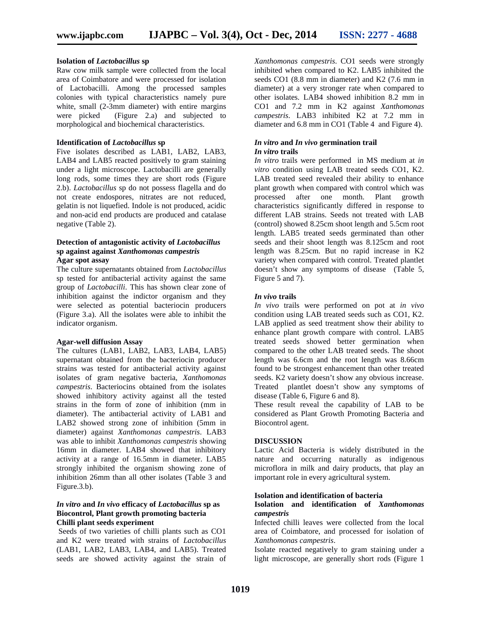## **Isolation of** *Lactobacillus* **sp**

Raw cow milk sample were collected from the local area of Coimbatore and were processed for isolation of Lactobacilli. Among the processed samples colonies with typical characteristics namely pure white, small (2-3mm diameter) with entire margins were picked (Figure 2.a) and subjected to morphological and biochemical characteristics.

### **Identification of** *Lactobacillus* **sp**

Five isolates described as LAB1, LAB2, LAB3, LAB4 and LAB5 reacted positively to gram staining under a light microscope. Lactobacilli are generally long rods, some times they are short rods (Figure 2.b). *Lactobacillus* sp do not possess flagella and do not create endospores, nitrates are not reduced, gelatin is not liquefied. Indole is not produced, acidic and non-acid end products are produced and catalase negative (Table 2).

## **Detection of antagonistic activity of** *Lactobacillus* **sp against against** *Xanthomonas campestris* **Agar spot assay**

The culture supernatants obtained from *Lactobacillus* sp tested for antibacterial activity against the same group of *Lactobacilli*. This has shown clear zone of inhibition against the indictor organism and they were selected as potential bacteriocin producers (Figure 3.a). All the isolates were able to inhibit the indicator organism.

### **Agar-well diffusion Assay**

The cultures (LAB1, LAB2, LAB3, LAB4, LAB5) supernatant obtained from the bacteriocin producer strains was tested for antibacterial activity against isolates of gram negative bacteria, *Xanthomonas campestris*. Bacteriocins obtained from the isolates showed inhibitory activity against all the tested strains in the form of zone of inhibition (mm in diameter). The antibacterial activity of LAB1 and LAB2 showed strong zone of inhibition (5mm in diameter) against *Xanthomonas campestris*. LAB3 was able to inhibit *Xanthomonas campestris* showing 16mm in diameter. LAB4 showed that inhibitory activity at a range of 16.5mm in diameter. LAB5 strongly inhibited the organism showing zone of inhibition 26mm than all other isolates (Table 3 and Figure.3.b).

## *In vitro* **and** *In vivo* **efficacy of** *Lactobacillus* **sp as Biocontrol, Plant growth promoting bacteria Chilli plant seeds experiment**

Seeds of two varieties of chilli plants such as CO1 and K2 were treated with strains of *Lactobacillus* (LAB1, LAB2, LAB3, LAB4, and LAB5). Treated seeds are showed activity against the strain of

*Xanthomonas campestris*. CO1 seeds were strongly inhibited when compared to K2. LAB5 inhibited the seeds CO1 (8.8 mm in diameter) and K2 (7.6 mm in diameter) at a very stronger rate when compared to other isolates. LAB4 showed inhibition 8.2 mm in CO1 and 7.2 mm in K2 against *Xanthomonas campestris*. LAB3 inhibited K2 at 7.2 mm in diameter and 6.8 mm in CO1 (Table 4 and Figure 4).

#### *In vitro* **and** *In vivo* **germination trail** *In vitro* **trails**

*In vitro* trails were performed in MS medium at *in vitro* condition using LAB treated seeds CO1, K2. LAB treated seed revealed their ability to enhance plant growth when compared with control which was processed after one month. Plant growth characteristics significantly differed in response to different LAB strains. Seeds not treated with LAB (control) showed 8.25cm shoot length and 5.5cm root length. LAB5 treated seeds germinated than other seeds and their shoot length was 8.125cm and root length was 8.25cm. But no rapid increase in K2 variety when compared with control. Treated plantlet doesn't show any symptoms of disease (Table 5, Figure 5 and 7).

#### *In vivo* **trails**

*In vivo* trails were performed on pot at *in vivo* condition using LAB treated seeds such as CO1, K2. LAB applied as seed treatment show their ability to enhance plant growth compare with control. LAB5 treated seeds showed better germination when compared to the other LAB treated seeds. The shoot length was 6.6cm and the root length was 8.66cm found to be strongest enhancement than other treated seeds. K2 variety doesn't show any obvious increase. Treated plantlet doesn't show any symptoms of disease (Table 6, Figure 6 and 8).

These result reveal the capability of LAB to be considered as Plant Growth Promoting Bacteria and Biocontrol agent.

## **DISCUSSION**

Lactic Acid Bacteria is widely distributed in the nature and occurring naturally as indigenous microflora in milk and dairy products, that play an important role in every agricultural system.

#### **Isolation and identification of bacteria**

## **Isolation and identification of** *Xanthomonas campestris*

Infected chilli leaves were collected from the local area of Coimbatore, and processed for isolation of *Xanthomonas campestris*.

Isolate reacted negatively to gram staining under a light microscope, are generally short rods (Figure 1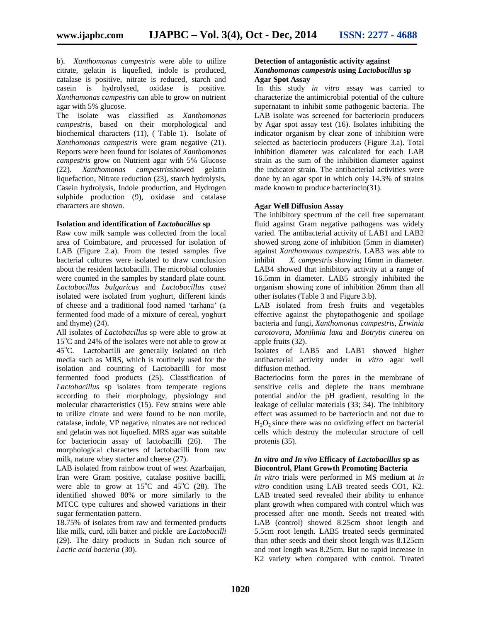b). *Xanthomonas campestris* were able to utilize citrate, gelatin is liquefied, indole is produced, catalase is positive, nitrate is reduced, starch and casein is hydrolysed, oxidase is positive. *Xanthamonas campestris* can able to grow on nutrient agar with 5% glucose.

The isolate was classified as *Xanthomonas campestris*, based on their morphological and biochemical characters (11), ( Table 1). Isolate of *Xanthomonas campestris* were gram negative (21). Reports were been found for isolates of *Xanthomonas campestris* grow on Nutrient agar with 5% Glucose (22)*. Xanthomonas campestris*showed gelatin liquefaction, Nitrate reduction (23), starch hydrolysis, Casein hydrolysis, Indole production, and Hydrogen sulphide production (9), oxidase and catalase characters are shown.

#### **Isolation and identification of** *Lactobacillus* **sp**

Raw cow milk sample was collected from the local area of Coimbatore, and processed for isolation of LAB (Figure 2.a). From the tested samples five bacterial cultures were isolated to draw conclusion about the resident lactobacilli. The microbial colonies were counted in the samples by standard plate count. *Lactobacillus bulgaricus* and *Lactobacillus casei* isolated were isolated from yoghurt, different kinds of cheese and a traditional food named 'tarhana' (a fermented food made of a mixture of cereal, yoghurt and thyme) (24).

All isolates of *Lactobacillus* sp were able to grow at  $15^{\circ}$ C and 24% of the isolates were not able to grow at 45°C. Lactobacilli are generally isolated on rich media such as MRS, which is routinely used for the isolation and counting of Lactobacilli for most fermented food products (25). Classification of *Lactobacillus* sp isolates from temperate regions according to their morphology, physiology and molecular characteristics (15). Few strains were able to utilize citrate and were found to be non motile, catalase, indole, VP negative, nitrates are not reduced and gelatin was not liquefied. MRS agar was suitable for bacteriocin assay of lactobacilli (26). The morphological characters of lactobacilli from raw milk, nature whey starter and cheese (27).

LAB isolated from rainbow trout of west Azarbaijan, Iran were Gram positive, catalase positive bacilli, were able to grow at  $15^{\circ}$ C and  $45^{\circ}$ C (28). The identified showed 80% or more similarly to the MTCC type cultures and showed variations in their sugar fermentation pattern.

18.75% of isolates from raw and fermented products like milk, curd, idli batter and pickle are *Lactobacilli* (29)*.* The dairy products in Sudan rich source of *Lactic acid bacteria* (30).

# **Detection of antagonistic activity against** *Xanthomonas campestris* **using** *Lactobacillus* **sp Agar Spot Assay**

In this study *in vitro* assay was carried to characterize the antimicrobial potential of the culture supernatant to inhibit some pathogenic bacteria. The LAB isolate was screened for bacteriocin producers by Agar spot assay test (16). Isolates inhibiting the indicator organism by clear zone of inhibition were selected as bacteriocin producers (Figure 3.a). Total inhibition diameter was calculated for each LAB strain as the sum of the inhibition diameter against the indicator strain. The antibacterial activities were done by an agar spot in which only 14.3% of strains made known to produce bacteriocin(31).

## **Agar Well Diffusion Assay**

The inhibitory spectrum of the cell free supernatant fluid against Gram negative pathogens was widely varied. The antibacterial activity of LAB1 and LAB2 showed strong zone of inhibition (5mm in diameter) against *Xanthomonas campestris*. LAB3 was able to *X. campestris* showing 16mm in diameter. LAB4 showed that inhibitory activity at a range of 16.5mm in diameter. LAB5 strongly inhibited the organism showing zone of inhibition 26mm than all other isolates (Table 3 and Figure 3.b).

LAB isolated from fresh fruits and vegetables effective against the phytopathogenic and spoilage bacteria and fungi, *Xanthomonas campestris, Erwinia carotovora, Monilinia laxa* and *Botrytis cinerea* on apple fruits (32).

Isolates of LAB5 and LAB1 showed higher antibacterial activity under *in vitro* agar well diffusion method.

Bacteriocins form the pores in the membrane of sensitive cells and deplete the trans membrane potential and/or the pH gradient, resulting in the leakage of cellular materials (33; 34). The inhibitory effect was assumed to be bacteriocin and not due to  $H_2O_2$  since there was no oxidizing effect on bacterial cells which destroy the molecular structure of cell protenis (35).

# *In vitro and In vivo* **Efficacy of** *Lactobacillus* **sp as Biocontrol, Plant Growth Promoting Bacteria**

*In vitro* trials were performed in MS medium at *in vitro* condition using LAB treated seeds CO1, K2. LAB treated seed revealed their ability to enhance plant growth when compared with control which was processed after one month. Seeds not treated with LAB (control) showed 8.25cm shoot length and 5.5cm root length. LAB5 treated seeds germinated than other seeds and their shoot length was 8.125cm and root length was 8.25cm. But no rapid increase in K2 variety when compared with control. Treated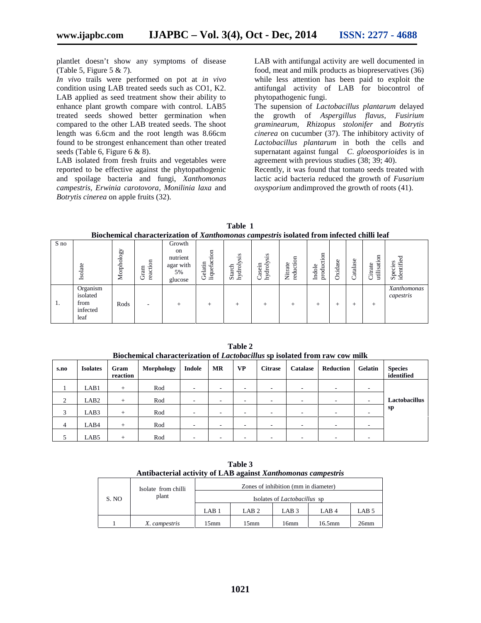plantlet doesn't show any symptoms of disease (Table 5, Figure 5  $& 7$ ).

*In vivo* trails were performed on pot at *in vivo* condition using LAB treated seeds such as CO1, K2. LAB applied as seed treatment show their ability to enhance plant growth compare with control. LAB5 treated seeds showed better germination when compared to the other LAB treated seeds. The shoot length was 6.6cm and the root length was 8.66cm found to be strongest enhancement than other treated seeds (Table 6, Figure 6 & 8).

LAB isolated from fresh fruits and vegetables were reported to be effective against the phytopathogenic and spoilage bacteria and fungi, *Xanthomonas campestris, Erwinia carotovora, Monilinia laxa* and *Botrytis cinerea* on apple fruits (32).

LAB with antifungal activity are well documented in food, meat and milk products as biopreservatives (36) while less attention has been paid to exploit the antifungal activity of LAB for biocontrol of phytopathogenic fungi.

The supension of *Lactobacillus plantarum* delayed the growth of *Aspergillus flavus, Fusirium graminearum, Rhizopus stolonifer* and *Botrytis cinerea* on cucumber (37). The inhibitory activity of *Lactobacillus plantarum* in both the cells and supernatant against fungal *C*. *gloeosporioides* is in agreement with previous studies (38; 39; 40).

Recently, it was found that tomato seeds treated with lactic acid bacteria reduced the growth of *Fusarium oxysporium* andimproved the growth of roots (41).

| Table                                                                                     |  |
|-------------------------------------------------------------------------------------------|--|
| Biochemical characterization of Xanthomonas campestris isolated from infected chilli leaf |  |

| S no | Isolate                                          | Morphology | ⋴<br>reaction<br>Gram    | Growth<br>on<br>nutrient<br>agar with<br>5%<br>glucose | $\overline{\mathrm{m}}$<br>liquefacti<br>Gelatin | S<br>٠¤<br>hydrolys<br>Starch | S<br>. <u>29</u><br>droly<br>asein<br>Ě<br>ر | g<br>rate<br>ucti<br>這<br>ŢŌ<br>$\sim$ | tion<br>product<br>Indole | idase<br>×<br>Ċ | atalase<br>ر | sation<br>ate<br>Ė<br>⊷<br>ىب<br><br>C | ರ<br>Species<br>identifie |
|------|--------------------------------------------------|------------|--------------------------|--------------------------------------------------------|--------------------------------------------------|-------------------------------|----------------------------------------------|----------------------------------------|---------------------------|-----------------|--------------|----------------------------------------|---------------------------|
| ι.   | Organism<br>isolated<br>from<br>infected<br>leaf | Rods       | $\overline{\phantom{a}}$ | $^+$                                                   | $^+$                                             | $^{+}$                        | +                                            | $^+$                                   | $^+$                      | +               | +            | $^+$                                   | Xanthomonas<br>capestris  |

|      | Divenenmear characterization of <i>Lactobactinus</i> sp isolated from faw cow mink |                  |            |                          |                          |           |                |                          |                          |                          |                              |
|------|------------------------------------------------------------------------------------|------------------|------------|--------------------------|--------------------------|-----------|----------------|--------------------------|--------------------------|--------------------------|------------------------------|
| s.no | <b>Isolates</b>                                                                    | Gram<br>reaction | Morphology | Indole                   | <b>MR</b>                | <b>VP</b> | <b>Citrase</b> | Catalase                 | Reduction                | Gelatin                  | <b>Species</b><br>identified |
|      | LAB1                                                                               | $+$              | Rod        | $\overline{\phantom{a}}$ | $\overline{\phantom{a}}$ |           | ۰              | ۰                        | ٠                        |                          |                              |
| 2    | LAB <sub>2</sub>                                                                   | $+$              | Rod        | $\overline{\phantom{a}}$ | -                        |           | ۰.             |                          | ۰                        |                          | <b>Lactobacillus</b>         |
| 3    | LAB3                                                                               | $+$              | Rod        | $\overline{\phantom{a}}$ | ٠                        | ۰         | ۰              | -                        | ۰                        |                          | sp                           |
| 4    | LAB4                                                                               | $+$              | Rod        | $\overline{\phantom{a}}$ | $\overline{\phantom{a}}$ |           | ۰              | -                        | $\overline{\phantom{a}}$ |                          |                              |
|      | LAB5                                                                               | $+$              | Rod        | ٠                        | $\overline{\phantom{a}}$ | ۰         | ۰              | $\overline{\phantom{a}}$ | $\overline{\phantom{a}}$ | $\overline{\phantom{a}}$ |                              |

**Table 2 Biochemical characterization of** *Lactobacillus* **sp isolated from raw cow milk**

**Table 3 Antibacterial activity of LAB against** *Xanthomonas campestris*

|       | Isolate from chilli<br>plant | Zones of inhibition (mm in diameter) |                  |                  |                  |                  |  |  |
|-------|------------------------------|--------------------------------------|------------------|------------------|------------------|------------------|--|--|
| S. NO |                              | Isolates of <i>Lactobacillus</i> sp  |                  |                  |                  |                  |  |  |
|       |                              | LAB1                                 | LAB <sub>2</sub> | LAB <sub>3</sub> | LAB <sub>4</sub> | LAB <sub>5</sub> |  |  |
|       | X. campestris                | 15mm                                 | 15mm             | 16mm             | $16.5$ mm        | 26 <sub>mm</sub> |  |  |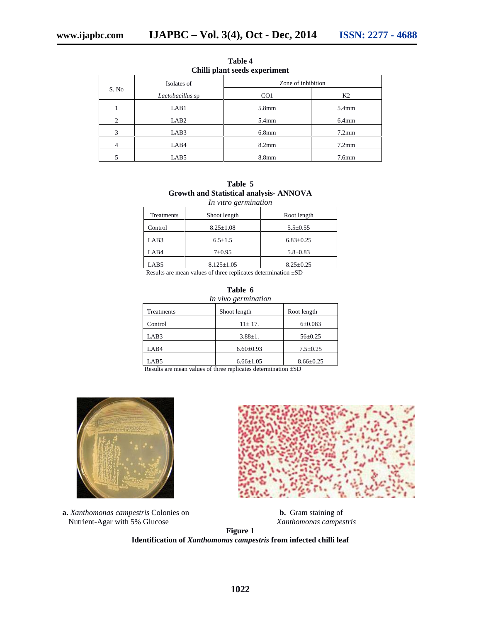|       |                  | Chilli plant seeds experiment |                   |  |  |  |
|-------|------------------|-------------------------------|-------------------|--|--|--|
|       | Isolates of      | Zone of inhibition            |                   |  |  |  |
| S. No | Lactobacillus sp | CO <sub>1</sub>               | K <sub>2</sub>    |  |  |  |
|       | LAB1             | 5.8 <sub>mm</sub>             | 5.4mm             |  |  |  |
| 2     | LAB <sub>2</sub> | 5.4mm                         | $6.4$ mm          |  |  |  |
| 3     | LAB3             | 6.8 <sub>mm</sub>             | $7.2$ mm          |  |  |  |
| 4     | LAB4             | 8.2 <sub>mm</sub>             | $7.2$ mm          |  |  |  |
| 5     | LAB5             | 8.8 <sub>mm</sub>             | 7.6 <sub>mm</sub> |  |  |  |

**Table 4**

| Table 5                                        |  |
|------------------------------------------------|--|
| <b>Growth and Statistical analysis- ANNOVA</b> |  |
| In vitro germination                           |  |

|            | ີ                                                                             |                 |
|------------|-------------------------------------------------------------------------------|-----------------|
| Treatments | Shoot length                                                                  | Root length     |
| Control    | $8.25 \pm 1.08$                                                               | $5.5 \pm 0.55$  |
| LAB3       | $6.5 \pm 1.5$                                                                 | $6.83 \pm 0.25$ |
| LAB4       | $7 + 0.95$                                                                    | $5.8 \pm 0.83$  |
| LAB5       | $8.125 \pm 1.05$                                                              | $8.25 \pm 0.25$ |
| __         | . .<br>$\sim$ $\sim$ $\sim$ $\sim$ $\sim$ $\sim$<br>$\cdots$<br>$\sim$ $\sim$ | ---             |

Results are mean values of three replicates determination ±SD

| Table 6<br>In vivo germination |                 |                 |  |  |  |
|--------------------------------|-----------------|-----------------|--|--|--|
| Treatments                     | Shoot length    | Root length     |  |  |  |
| Control                        | $11 \pm 17$ .   | $6 + 0.083$     |  |  |  |
| LAB3                           | $3.88 \pm 1.$   | $56 \pm 0.25$   |  |  |  |
| LAB4                           | $6.60 \pm 0.93$ | $7.5 \pm 0.25$  |  |  |  |
| LAB5                           | $6.66 \pm 1.05$ | $8.66 \pm 0.25$ |  |  |  |

Results are mean values of three replicates determination ±SD





**a.** *Xanthomonas campestris* Colonies on **b.** Gram staining of Nutrient-Agar with 5% Glucose *Xanthomonas campestris*

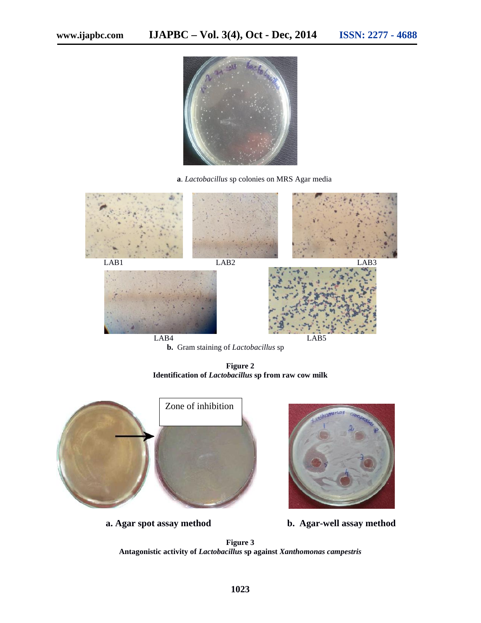

**a**. *Lactobacillus* sp colonies on MRS Agar media



**b.** Gram staining of *Lactobacillus* sp

**Figure 2 Identification of** *Lactobacillus* **sp from raw cow milk**





**a. Agar spot assay method b. Agar-well assay method**

**Figure 3 Antagonistic activity of** *Lactobacillus* **sp against** *Xanthomonas campestris*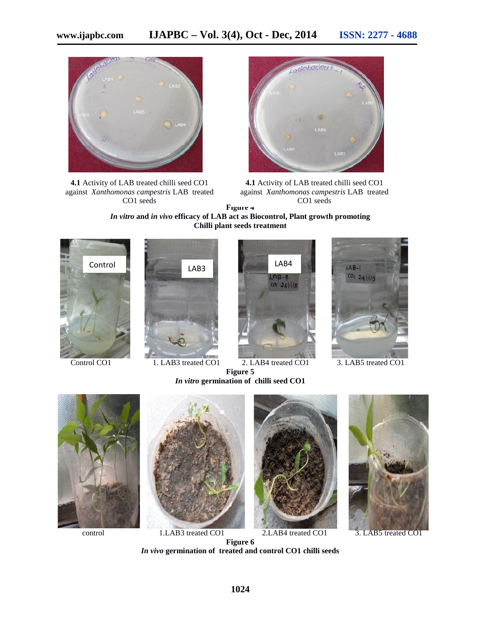

**4.1** Activity of LAB treated chilli seed CO1 against *Xanthomonas campestris* LAB treated CO1 seeds



. **4.1** Activity of LAB treated chilli seed CO1 **Figure 4** against *Xanthomonas campestris* LAB treated CO1 seeds

*In vitro* **and** *in vivo* **efficacy of LAB act as Biocontrol, Plant growth promoting Chilli plant seeds treatment**

*In vitro* **germination of chilli seed CO1**





Control CO1 1. LAB3 treated CO1 2. LAB4 treated CO1 3. LAB5 treated CO1 **Figure 5**









control 1.LAB3 treated CO1 2.LAB4 treated CO1 3. LAB5 treated CO1





**Figure 6** *In vivo* **germination of treated and control CO1 chilli seeds**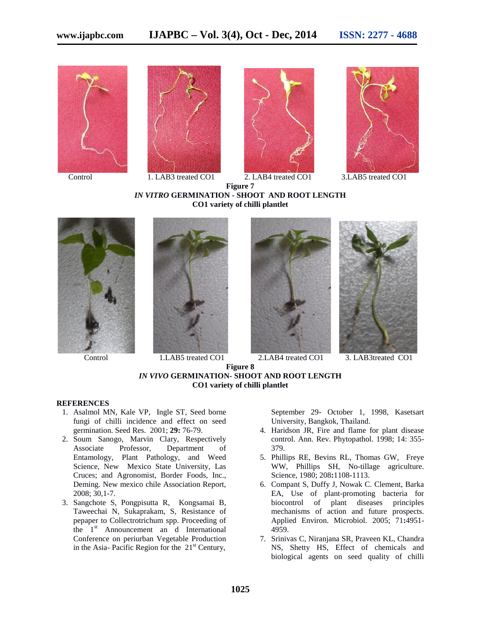







**Figure 7** *IN VITRO* **GERMINATION - SHOOT AND ROOT LENGTH CO1 variety of chilli plantlet**









Control 1.LAB5 treated CO1 2.LAB4 treated CO1 3. LAB3treated CO1



#### **REFERENCES**

- 1. Asalmol MN, Kale VP, Ingle ST, Seed borne fungi of chilli incidence and effect on seed germination. Seed Res. 2001; **29:** 76-79.
- 2. Soum Sanogo, Marvin Clary, Respectively Associate Professor, Department of Entamology, Plant Pathology, and Weed Science, New Mexico State University, Las Cruces; and Agronomist, Border Foods, Inc., Deming. New mexico chile Association Report, 2008; 30,1-7.
- 3. Sangchote S, Pongpisutta R, Kongsamai B, Taweechai N, Sukaprakam, S, Resistance of pepaper to Collectrotrichum spp. Proceeding of the  $1<sup>st</sup>$  Announcement an d International Conference on periurban Vegetable Production in the Asia- Pacific Region for the  $21<sup>st</sup>$  Century,

September 29- October 1, 1998, Kasetsart University, Bangkok, Thailand.

- 4. Haridson JR, Fire and flame for plant disease control. Ann. Rev. Phytopathol. 1998; 14: 355- 379.
- 5. Phillips RE, Bevins RL, Thomas GW, Freye WW, Phillips SH, No-tillage agriculture. Science, 1980; 208**:**1108-1113.
- 6. Compant S, Duffy J, Nowak C. Clement, Barka EA, Use of plant-promoting bacteria for biocontrol of plant diseases principles mechanisms of action and future prospects. Applied Environ. Microbiol. 2005; 71**:**4951- 4959.
- 7. Srinivas C, Niranjana SR, Praveen KL, Chandra NS, Shetty HS, Effect of chemicals and biological agents on seed quality of chilli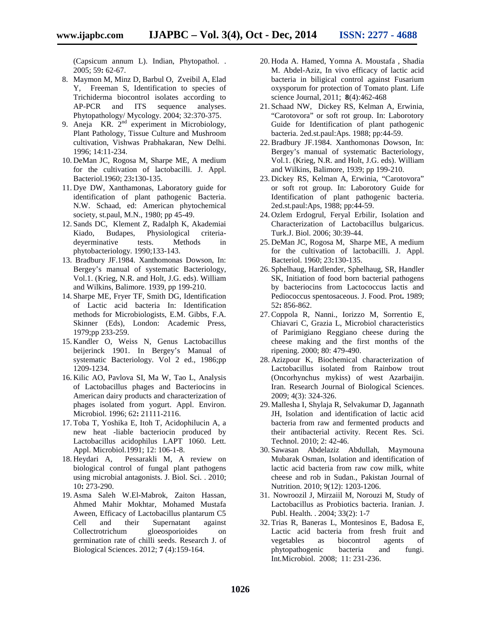(Capsicum annum L). Indian, Phytopathol. . 2005; 59**:** 62-67.

- 8. Maymon M, Minz D, Barbul O, Zveibil A, Elad Y, Freeman S, Identification to species of Trichiderma biocontrol isolates according to AP-PCR and ITS sequence analyses. Phytopathology/ Mycology. 2004; 32:370-375.
- 9. Aneja KR.  $2<sup>nd</sup>$  experiment in Microbiology, Plant Pathology, Tissue Culture and Mushroom cultivation, Vishwas Prabhakaran, New Delhi. 1996; 14:11-234.
- 10. DeMan JC, Rogosa M, Sharpe ME, A medium for the cultivation of lactobacilli. J. Appl. Bacteriol.1960; 23**:**130-135.
- 11. Dye DW, Xanthamonas, Laboratory guide for identification of plant pathogenic Bacteria. N.W. Schaad, ed: American phytochemical society, st.paul, M.N., 1980; pp 45-49.
- 12. Sands DC, Klement Z, Radalph K, Akademiai Kiado, Budapes, Physiological criteria deyerminative tests. Methods in phytobacteriology. 1990;133-143.
- 13. Bradbury JF.1984. Xanthomonas Dowson, In: Bergey's manual of systematic Bacteriology, Vol.1. (Krieg, N.R. and Holt, J.G. eds). William and Wilkins, Balimore. 1939, pp 199-210.
- 14. Sharpe ME, Fryer TF, Smith DG, Identification of Lactic acid bacteria In: Identification methods for Microbiologists, E.M. Gibbs, F.A. Skinner (Eds), London: Academic Press, 1979;pp 233-259.
- 15. Kandler O, Weiss N, Genus Lactobacillus beijerinck 1901. In Bergey's Manual of systematic Bacteriology. Vol 2 ed., 1986;pp 1209-1234.
- 16. Kilic AO, Pavlova SI, Ma W, Tao L, Analysis of Lactobacillus phages and Bacteriocins in American dairy products and characterization of phages isolated from yogurt. Appl. Environ. Microbiol. 1996; 62**:** 21111-2116.
- 17. Toba T, Yoshika E, Itoh T, Acidophilucin A, a new heat -liable bacteriocin produced by Lactobacillus acidophilus LAPT 1060. Lett. Appl. Microbiol.1991; 12: 106-1-8.
- 18. Heydari A, Pessarakli M, A review on biological control of fungal plant pathogens using microbial antagonists. J. Biol. Sci. . 2010; 10**:** 273-290.
- 19. Asma Saleh W.El-Mabrok, Zaiton Hassan, Ahmed Mahir Mokhtar, Mohamed Mustafa Aween, Efficacy of Lactobacillus plantarum C5 Cell and their Supernatant against Collectrotrichum gloeosporioides on germination rate of chilli seeds. Research J. of Biological Sciences. 2012; **7** (4):159-164.
- 20. Hoda A. Hamed, Yomna A. Moustafa , Shadia M. Abdel-Aziz, In vivo efficacy of lactic acid bacteria in biligical control against Fusarium oxysporum for protection of Tomato plant. Life science Journal, 2011; **8**(4):462-468
- 21. Schaad NW, Dickey RS, Kelman A, Erwinia, "Carotovora" or soft rot group. In: Laborotory Guide for Identification of plant pathogenic bacteria. 2ed.st.paul:Aps. 1988; pp:44-59.
- 22. Bradbury JF.1984. Xanthomonas Dowson, In: Bergey's manual of systematic Bacteriology, Vol.1. (Krieg, N.R. and Holt, J.G. eds). William and Wilkins, Balimore, 1939; pp 199-210.
- 23. Dickey RS, Kelman A, Erwinia, "Carotovora" or soft rot group. In: Laborotory Guide for Identification of plant pathogenic bacteria. 2ed.st.paul:Aps, 1988; pp:44-59.
- 24. Ozlem Erdogrul, Feryal Erbilir, Isolation and Characterization of Lactobacillus bulgaricus. Turk.J. Biol. 2006; 30:39-44.
- 25. DeMan JC, Rogosa M, Sharpe ME, A medium for the cultivation of lactobacilli. J. Appl. Bacteriol. 1960; 23**:**130-135.
- 26. Sphelhaug, Hardlender, Sphelhaug, SR, Handler SK, Initiation of food born bacterial pathogens by bacteriocins from Lactococcus lactis and Pediococcus spentosaceous. J. Food. Prot**.** 1989; 52**:** 856-862.
- 27. Coppola R, Nanni., Iorizzo M, Sorrentio E, Chiavari C, Grazia L, Microbiol characteristics of Parimigiano Reggiano cheese during the cheese making and the first months of the ripening. 2000; 80: 479-490.
- 28. Azizpour K, Biochemical characterization of Lactobacillus isolated from Rainbow trout (Oncorhynchus mykiss) of west Azarbaijin. Iran. Research Journal of Biological Sciences. 2009; 4(3): 324-326.
- 29. Mallesha I, Shylaja R, Selvakumar D, Jagannath JH, Isolation and identification of lactic acid bacteria from raw and fermented products and their antibacterial activity. Recent Res. Sci. Technol. 2010; 2: 42-46.
- 30. Sawasan Abdelaziz Abdullah, Maymouna Mubarak Osman, Isolation and identification of lactic acid bacteria from raw cow milk, white cheese and rob in Sudan., Pakistan Journal of Nutrition. 2010; 9(12): 1203-1206.
- 31. Nowroozil J, Mirzaiil M, Norouzi M, Study of Lactobacillus as Probiotics bacteria. Iranian. J. Publ. Health. . 2004; 33(2): 1-7
- 32. Trias R, Baneras L, Montesinos E, Badosa E, Lactic acid bacteria from fresh fruit and vegetables as biocontrol agents of phytopathogenic bacteria and fungi. Int.Microbiol. 2008; 11: 231-236.